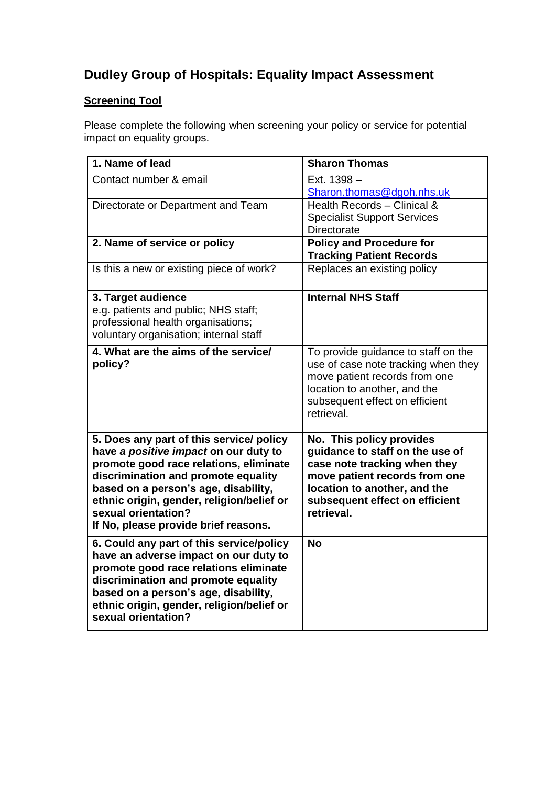## **Dudley Group of Hospitals: Equality Impact Assessment**

## **Screening Tool**

Please complete the following when screening your policy or service for potential impact on equality groups.

| 1. Name of lead                                                                                                                                                                                                                                                                                                        | <b>Sharon Thomas</b>                                                                                                                                                                                         |
|------------------------------------------------------------------------------------------------------------------------------------------------------------------------------------------------------------------------------------------------------------------------------------------------------------------------|--------------------------------------------------------------------------------------------------------------------------------------------------------------------------------------------------------------|
| Contact number & email                                                                                                                                                                                                                                                                                                 | Ext. 1398 -<br>Sharon.thomas@dgoh.nhs.uk                                                                                                                                                                     |
| Directorate or Department and Team                                                                                                                                                                                                                                                                                     | Health Records - Clinical &<br><b>Specialist Support Services</b><br><b>Directorate</b>                                                                                                                      |
| 2. Name of service or policy                                                                                                                                                                                                                                                                                           | <b>Policy and Procedure for</b><br><b>Tracking Patient Records</b>                                                                                                                                           |
| Is this a new or existing piece of work?                                                                                                                                                                                                                                                                               | Replaces an existing policy                                                                                                                                                                                  |
| 3. Target audience<br>e.g. patients and public; NHS staff;<br>professional health organisations;<br>voluntary organisation; internal staff                                                                                                                                                                             | <b>Internal NHS Staff</b>                                                                                                                                                                                    |
| 4. What are the aims of the service/<br>policy?                                                                                                                                                                                                                                                                        | To provide guidance to staff on the<br>use of case note tracking when they<br>move patient records from one<br>location to another, and the<br>subsequent effect on efficient<br>retrieval.                  |
| 5. Does any part of this service/ policy<br>have a positive impact on our duty to<br>promote good race relations, eliminate<br>discrimination and promote equality<br>based on a person's age, disability,<br>ethnic origin, gender, religion/belief or<br>sexual orientation?<br>If No, please provide brief reasons. | No. This policy provides<br>guidance to staff on the use of<br>case note tracking when they<br>move patient records from one<br>location to another, and the<br>subsequent effect on efficient<br>retrieval. |
| 6. Could any part of this service/policy<br>have an adverse impact on our duty to<br>promote good race relations eliminate<br>discrimination and promote equality<br>based on a person's age, disability,<br>ethnic origin, gender, religion/belief or<br>sexual orientation?                                          | <b>No</b>                                                                                                                                                                                                    |